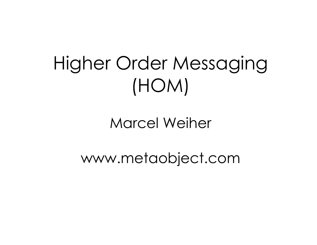#### Higher Order Messaging (HOM)

Marcel Weiher

www.metaobject.com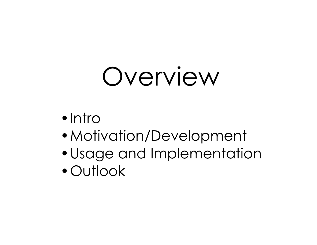## Overview

- Intro
- •Motivation/Development
- •Usage and Implementation
- •Outlook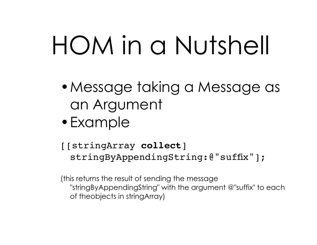# HOM in a Nutshell

- •Message taking a Message as an Argument
- •Example
- [[stringArray **collect**] stringByAppendingString:@"suffix"];

(this returns the result of sending the message "stringByAppendingString" with the argument @"suffix" to each of theobjects in stringArray)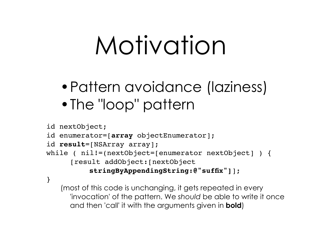## Motivation

- •Pattern avoidance (laziness)
- •The "loop" pattern

```
id nextObject;
id enumerator=[array objectEnumerator];
id result=[NSArray array];
while ( nil!=(nextObject=[enumerator nextObject] ) {
     [result addObject:[nextObject
          stringByAppendingString:@"suffix"]];
}
```
(most of this code is unchanging, it gets repeated in every 'invocation' of the pattern. We *should* be able to write it once and then 'call' it with the arguments given in **bold**)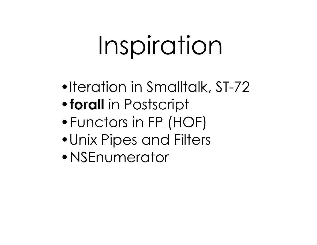# Inspiration

- •Iteration in Smalltalk, ST-72
- •**forall** in Postscript
- •Functors in FP (HOF)
- •Unix Pipes and Filters
- •NSEnumerator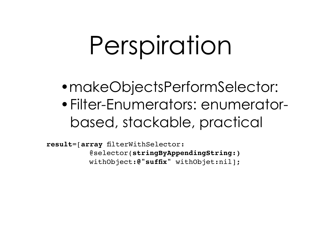## Perspiration

- makeObjectsPerformSelector:
- •Filter-Enumerators: enumeratorbased, stackable, practical

**result**=[**array** filterWithSelector: @selector(**stringByAppendingString:)** withObject:**@"suffix"** withObjet:nil];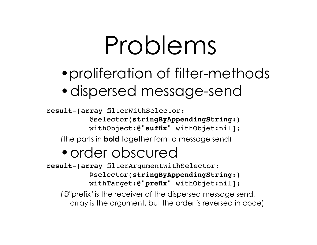#### Problems

- •proliferation of filter-methods
- •dispersed message-send

**result**=[**array** filterWithSelector:

@selector(**stringByAppendingString:)**

withObject:**@"suffix"** withObjet:nil];

(the parts in **bold** together form a message send)

#### •order obscured

**result**=[**array** filterArgumentWithSelector: @selector(**stringByAppendingString:)** withTarget:**@"prefix"** withObjet:nil];

(@"prefix" is the receiver of the dispersed message send, array is the argument, but the order is reversed in code)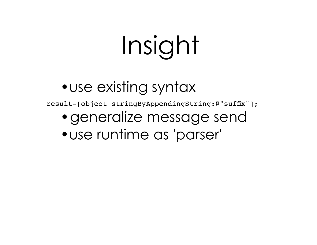# Insight

#### • use existing syntax

result=[object stringByAppendingString:@"suffix"];

- •generalize message send
- •use runtime as 'parser'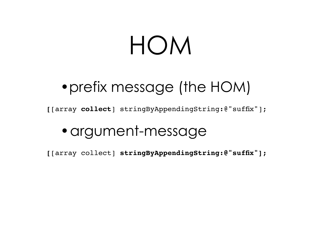#### HOM

#### •prefix message (the HOM)

**[**[array **collect**] stringByAppendingString:@"suffix"];

•argument-message

**[**[array collect] **stringByAppendingString:@"suffix"];**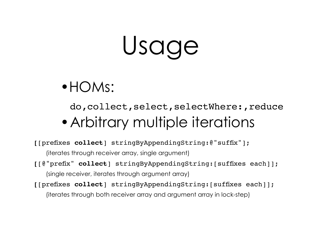## Usage

#### •HOMs:

do,collect,select,selectWhere:,reduce •Arbitrary multiple iterations

**[**[prefixes **collect**] stringByAppendingString:@"suffix"];

(iterates through receiver array, single argument)

- **[**[@"prefix" **collect**] stringByAppendingString:[suffixes each]]; (single receiver, iterates through argument array)
- **[**[prefixes **collect**] stringByAppendingString:[suffixes each]];

(iterates through both receiver array and argument array in lock-step)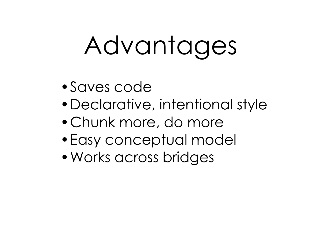# Advantages

- •Saves code
- •Declarative, intentional style
- •Chunk more, do more
- •Easy conceptual model
- •Works across bridges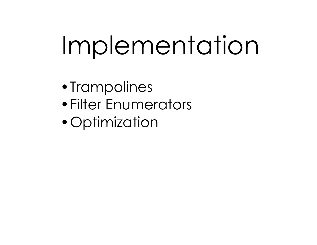# Implementation

- •Trampolines
- •Filter Enumerators
- Optimization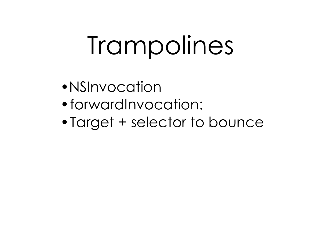# Trampolines

- •NSInvocation
- •forwardInvocation:
- •Target + selector to bounce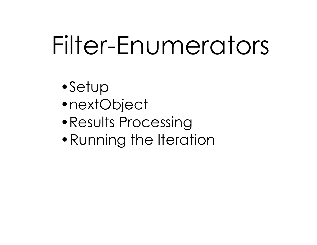## Filter-Enumerators

- •Setup
- •nextObject
- •Results Processing
- Running the Iteration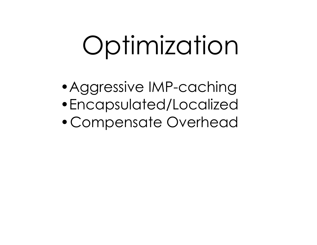# Optimization

- •Aggressive IMP-caching
- •Encapsulated/Localized
- •Compensate Overhead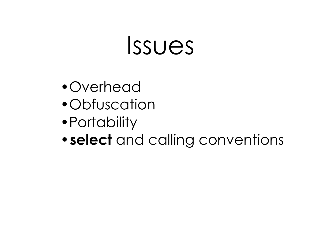#### Issues

- •Overhead
- •Obfuscation
- •Portability
- •**select** and calling conventions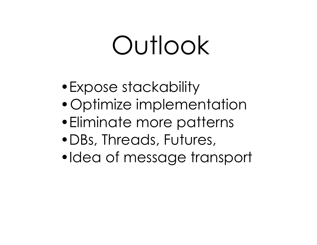## Outlook

- •Expose stackability
- •Optimize implementation
- •Eliminate more patterns
- •DBs, Threads, Futures,
- •Idea of message transport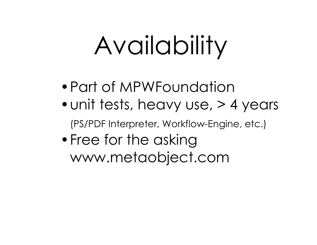# Availability

- •Part of MPWFoundation
- unit tests, heavy use, > 4 years

(PS/PDF Interpreter, Workflow-Engine, etc.)

• Free for the asking www.metaobject.com